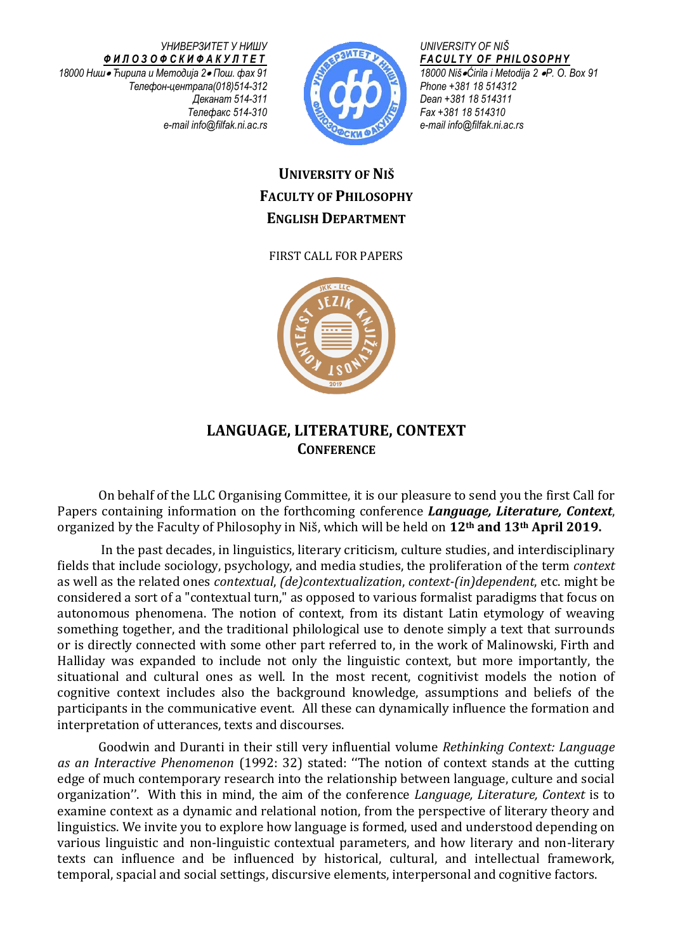*УНИВЕРЗИТЕТ У НИШУ Ф И Л О З О Ф С К И Ф А К У Л Т Е Т 18000 Ниш Ћирила и Методија 2 Пош. фах 91 Телефон-централа(018)514-312 Деканат 514-311 Телефакс 514-310 e-mail info@filfak.ni.ac.rs*



*UNIVERSITY OF NIŠ F A C U L T Y O F P H I L O S O P H Y 18000 NišĆirila i Metodija 2 P. O. Box 91 Phone +381 18 514312 Dean +381 18 514311 Fax +381 18 514310 e-mail [info@filfak.ni.ac.rs](mailto:info@filfak.ni.ac.rs)*

## **UNIVERSITY OF NIŠ FACULTY OF PHILOSOPHY ENGLISH DEPARTMENT**

FIRST CALL FOR PAPERS



## **LANGUAGE, LITERATURE, CONTEXT CONFERENCE**

On behalf of the LLC Organising Committee, it is our pleasure to send you the first Call for Papers containing information on the forthcoming conference *Language, Literature, Context*, organized by the Faculty of Philosophy in Niš, which will be held on **12th and 13th April 2019.**

In the past decades, in linguistics, literary criticism, culture studies, and interdisciplinary fields that include sociology, psychology, and media studies, the proliferation of the term *context* as well as the related ones *contextual*, *(de)contextualization*, *context-(in)dependent*, etc. might be considered a sort of a "contextual turn," as opposed to various formalist paradigms that focus on autonomous phenomena. The notion of context, from its distant Latin etymology of weaving something together, and the traditional philological use to denote simply a text that surrounds or is directly connected with some other part referred to, in the work of Malinowski, Firth and Halliday was expanded to include not only the linguistic context, but more importantly, the situational and cultural ones as well. In the most recent, cognitivist models the notion of cognitive context includes also the background knowledge, assumptions and beliefs of the participants in the communicative event. All these can dynamically influence the formation and interpretation of utterances, texts and discourses.

Goodwin and Duranti in their still very influential volume *Rethinking Context: Language as an Interactive Phenomenon* (1992: 32) stated: ''The notion of context stands at the cutting edge of much contemporary research into the relationship between language, culture and social organization''. With this in mind, the aim of the conference *Language, Literature, Context* is to examine context as a dynamic and relational notion, from the perspective of literary theory and linguistics. We invite you to explore how language is formed, used and understood depending on various linguistic and non-linguistic contextual parameters, and how literary and non-literary texts can influence and be influenced by historical, cultural, and intellectual framework, temporal, spacial and social settings, discursive elements, interpersonal and cognitive factors.